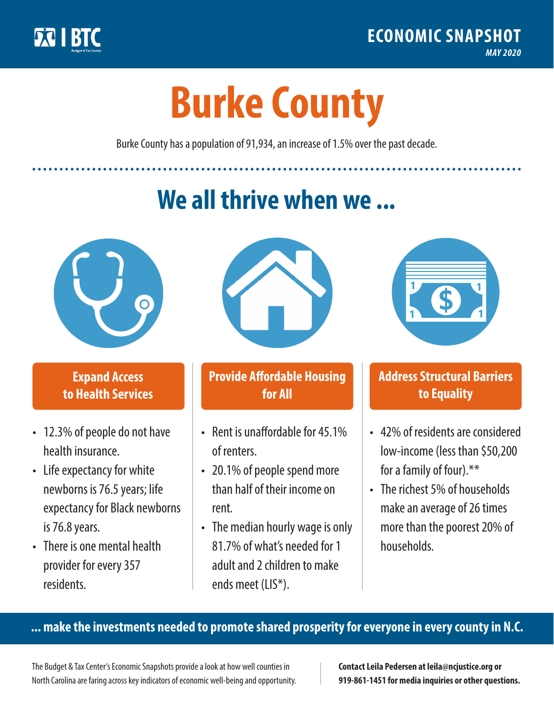

**1**

# **Burke County**

Burke County has a population of 91,934, an increase of 1.5% over the past decade.

# **We all thrive when we ...**



**\$ <sup>1</sup>**

**\$ <sup>1</sup>**

### **Expand Access to Health Services**

- 12.3% of people do not have health insurance.
- Life expectancy for white newborns is 76.5years; life expectancy for Black newborns is 76.8years.
- There is one mental health provider for every 357 residents.



### **Provide Affordable Housing for All**

- Rent is unaffordable for 45 1% of renters.
- 20.1% of people spend more than half of their income on rent.
- The median hourly wage is only 81.7% of what's needed for 1 adult and 2 children to make ends meet (LIS\*).



## **Address Structural Barriers to Equality**

- 42% of residents are considered low-income (less than \$50,200 for a family of four).\*\*
- The richest 5% of households make an average of 26 times more than the poorest 20% of households.

#### **... make the investments needed to promote shared prosperity for everyone in every county in N.C.**

The Budget & Tax Center's Economic Snapshots provide a look at how well counties in North Carolina are faring across key indicators of economic well-being and opportunity.